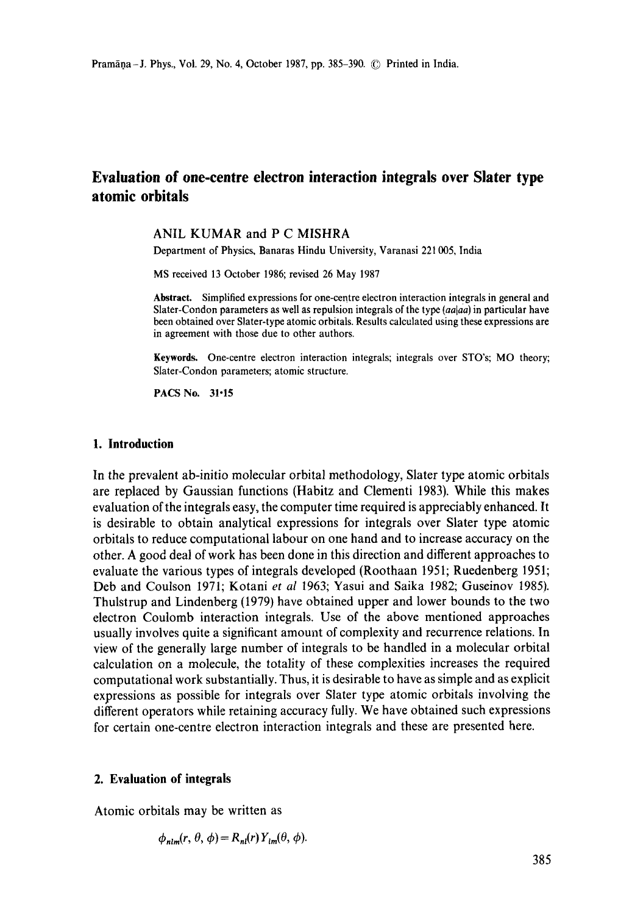# **Evaluation of one-centre electron interaction integrals over Slater type atomic orbitals**

## ANIL KUMAR and P C MISHRA

Department of Physics, Banaras Hindu University, Varanasi 221 005, India

MS received 13 October 1986; revised 26 May 1987

**Abstraet.** Simplified expressions for one-centre electron interaction integrals in general and Slater-Condon parameters as well as repulsion integrals of the type *(aa|aa)* in particular have been obtained over Slater-type atomic orbitals. Results calculated using these expressions **are**  in agreement with those due to other authors.

**Keywords.** One-centre electron interaction integrals; integrals over STO's; MO theory; Slater-Condon parameters; atomic structure.

*PACS* No. 31-15

#### **I. Introduction**

In the prevalent ab-initio molecular orbital methodology, Slater type atomic orbitals are replaced by Gaussian functions (Habitz and Clementi 1983). While this makes evaluation of the integrals easy, the computer time required is appreciably enhanced. It is desirable to obtain analytical expressions for integrals over Slater type atomic orbitals to reduce computational labour on one hand and to increase accuracy on the other. A good deal of work has been done in this direction and different approaches to evaluate the various types of integrals developed (Roothaan 1951; Ruedenberg 1951; Deb and Coulson 1971; Kotani *et al* 1963; Yasui and Saika 1982; Guseinov 1985). Thulstrup and Lindenberg (1979) have obtained upper and lower bounds to the two electron Coulomb interaction integrals. Use of the above mentioned approaches usually involves quite a significant amount of complexity and recurrence relations. In view of the generally large number of integrals to be handled in a molecular orbital calculation on a molecule, the totality of these complexities increases the required computational work substantially. Thus, it is desirable to have as simple and as explicit expressions as possible for integrals over Slater type atomic orbitals involving the different operators while retaining accuracy fully. We have obtained such expressions for certain one-centre electron interaction integrals and these are presented here.

## **2. Evaluation of integrals**

Atomic orbitals may be written as

$$
\phi_{nlm}(r, \theta, \phi) = R_{nl}(r) Y_{lm}(\theta, \phi).
$$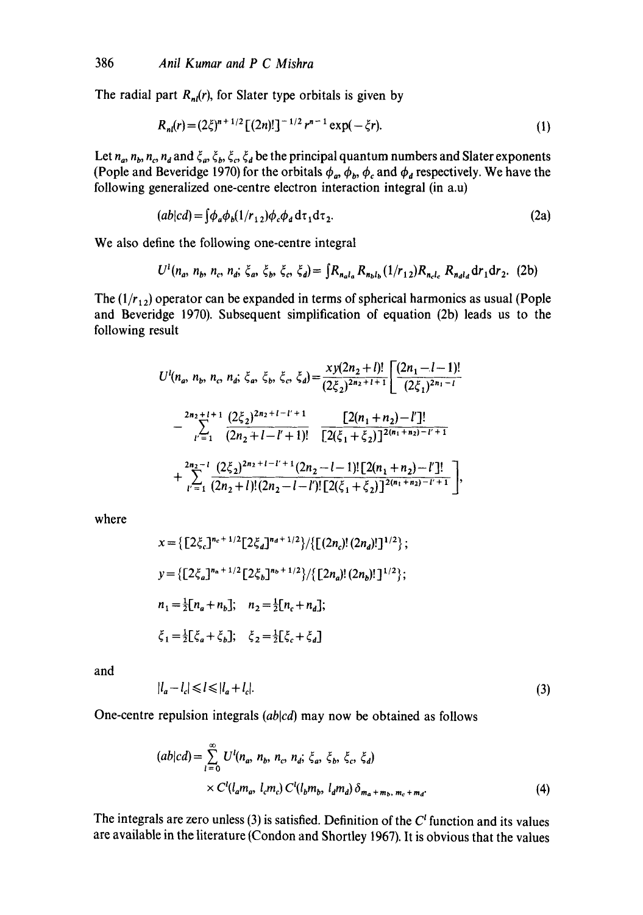The radial part  $R_{nl}(r)$ , for Slater type orbitals is given by

$$
R_{nl}(r) = (2\xi)^{n+1/2} \left[ (2n)! \right]^{-1/2} r^{n-1} \exp(-\xi r). \tag{1}
$$

Let  $n_a$ ,  $n_b$ ,  $n_c$ ,  $n_d$  and  $\xi_a$ ,  $\xi_b$ ,  $\xi_c$ ,  $\xi_d$  be the principal quantum numbers and Slater exponents (Pople and Beveridge 1970) for the orbitals  $\phi_a$ ,  $\phi_b$ ,  $\phi_c$  and  $\phi_d$  respectively. We have the following generalized one-centre electron interaction integral (in a.u)

$$
(ab|cd) = \int \phi_a \phi_b (1/r_{12}) \phi_c \phi_d d\tau_1 d\tau_2.
$$
 (2a)

We also define the following one-centre integral

$$
U^{1}(n_{a}, n_{b}, n_{c}, n_{d}; \xi_{a}, \xi_{b}, \xi_{c}, \xi_{d}) = \int R_{n_{a}l_{a}} R_{n_{b}l_{b}} (1/r_{12}) R_{n_{c}l_{c}} R_{n_{d}l_{d}} dr_{1} dr_{2}.
$$
 (2b)

The  $(1/r_{12})$  operator can be expanded in terms of spherical harmonics as usual (Pople and Beveridge 1970). Subsequent simplification of equation (2b) leads us to the following result

$$
U^{l}(n_{a}, n_{b}, n_{c}, n_{d}; \xi_{a}, \xi_{b}, \xi_{c}, \xi_{d}) = \frac{xy(2n_{2}+l)!}{(2\xi_{2})^{2n_{2}+l+1}} \left[ \frac{(2n_{1}-l-1)!}{(2\xi_{1})^{2n_{1}-l}} - \sum_{l'=1}^{2n_{2}+l+1} \frac{(2\xi_{2})^{2n_{2}+l-1+l}}{(2n_{2}+l-l'+1)!} \frac{\left[ 2(n_{1}+n_{2})-l' \right]!}{\left[ 2(\xi_{1}+\xi_{2}) \right]^{2(n_{1}+n_{2})-l'+1}} + \sum_{l'=1}^{2n_{2}-l} \frac{(2\xi_{2})^{2n_{2}+l-l'+1}(2n_{2}-l-1)!\left[ 2(n_{1}+n_{2})-l' \right]!}{(2n_{2}+l)!(2n_{2}-l-l')!\left[ 2(\xi_{1}+\xi_{2}) \right]^{2(n_{1}+n_{2})-l'+1}},
$$

where

$$
x = \{ [2\xi_c]^{n_c + 1/2} [2\xi_d]^{n_d + 1/2} \} / \{ [(2n_c)! (2n_d)! ]^{1/2} \};
$$
  
\n
$$
y = \{ [2\xi_a]^{n_a + 1/2} [2\xi_b]^{n_b + 1/2} \} / \{ [2n_a! (2n_b)! ]^{1/2} \};
$$
  
\n
$$
n_1 = \frac{1}{2} [n_a + n_b]; \quad n_2 = \frac{1}{2} [n_c + n_d];
$$
  
\n
$$
\xi_1 = \frac{1}{2} [\xi_a + \xi_b]; \quad \xi_2 = \frac{1}{2} [\xi_c + \xi_d]
$$

and

$$
|l_a - l_c| \leq l \leq |l_a + l_c|.\tag{3}
$$

One-centre repulsion integrals *(ablcd)* may now be obtained as follows

$$
(ab|cd) = \sum_{i=0}^{\infty} U^{i}(n_{a}, n_{b}, n_{c}, n_{d}; \xi_{a}, \xi_{b}, \xi_{c}, \xi_{d})
$$
  
×  $C^{i}(l_{a}m_{a}, l_{c}m_{c}) C^{i}(l_{b}m_{b}, l_{d}m_{d}) \delta_{m_{a}+m_{b}, m_{c}+m_{d}}.$  (4)

The integrals are zero unless (3) is satisfied. Definition of the  $C<sup>t</sup>$  function and its values are available in the literature (Condon and Shortley 1967). It is obvious that the values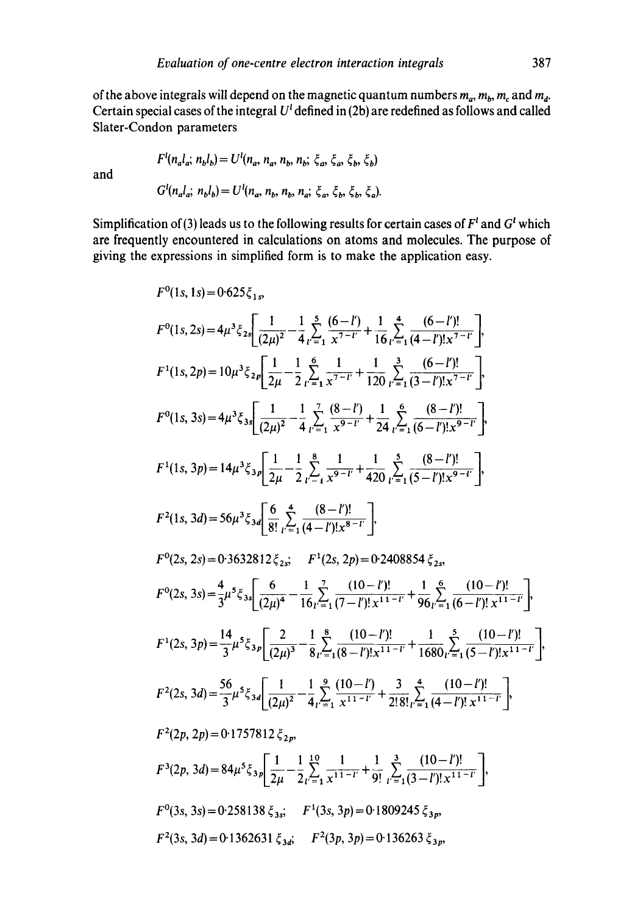of the above integrals will depend on the magnetic quantum numbers  $m_a$ ,  $m_b$ ,  $m_c$ , and  $m_d$ . Certain special cases of the integral  $U^l$  defined in (2b) are redefined as follows and called Slater-Condon parameters

and

$$
G^{l}(n_{a}l_{a}; n_{b}l_{b}) = U^{l}(n_{a}, n_{b}, n_{b}, n_{a}; \xi_{a}, \xi_{b}, \xi_{b}, \xi_{a}).
$$

 $F^{i}(n_{a}l_{a}, n_{b}l_{b})=U^{i}(n_{a}, n_{a}, n_{b}, n_{b}; \xi_{a}, \xi_{b}, \xi_{b}, \xi_{b})$ 

Simplification of (3) leads us to the following results for certain cases of  $F<sup>t</sup>$  and  $G<sup>t</sup>$  which are frequently encountered in calculations on atoms and molecules. The purpose of giving the expressions in simplified form is to make the application easy.

$$
F^{0}(1s, 1s) = 0.625\xi_{1s}
$$
\n
$$
F^{0}(1s, 2s) = 4\mu^{3}\xi_{2s} \left[ \frac{1}{(2\mu)^{2}} - \frac{1}{4}\sum_{l=1}^{5} \frac{(6-l^{r})}{x^{7-l^{r}}} + \frac{1}{16}\sum_{l=1}^{4} \frac{(6-l^{r})!}{(4-l^{r})!x^{7-l^{r}}} \right],
$$
\n
$$
F^{1}(1s, 2p) = 10\mu^{3}\xi_{2p} \left[ \frac{1}{2\mu} - \frac{1}{2}\sum_{l=1}^{6} \frac{1}{x^{7-l^{r}}} + \frac{1}{120}\sum_{l=1}^{3} \frac{(6-l^{r})!}{(3-l^{r})!x^{7-l^{r}}} \right],
$$
\n
$$
F^{0}(1s, 3s) = 4\mu^{3}\xi_{3s} \left[ \frac{1}{(2\mu)^{2}} - \frac{1}{4}\sum_{l=1}^{7} \frac{(8-l^{r})}{x^{9-l^{r}}} + \frac{1}{24}\sum_{l=1}^{6} \frac{(8-l^{r})!}{(6-l^{r})!x^{9-l^{r}}} \right],
$$
\n
$$
F^{1}(1s, 3p) = 14\mu^{3}\xi_{3p} \left[ \frac{1}{2\mu} - \frac{1}{2}\sum_{l=1}^{8} \frac{1}{x^{9-l^{r}}} + \frac{1}{420}\sum_{l=1}^{5} \frac{(8-l^{r})!}{(5-l^{r})!x^{9-l^{r}}} \right],
$$
\n
$$
F^{2}(1s, 3d) = 56\mu^{3}\xi_{3d} \left[ \frac{6}{8!}\sum_{l=1}^{4} \frac{(8-l^{r})!}{(4-l^{r})!x^{8-l^{r}}} \right],
$$
\n
$$
F^{0}(2s, 2s) = 0.3632812\xi_{2s}; \qquad F^{1}(2s, 2p) = 0.2408854\xi_{2s},
$$
\n
$$
F^{0}(2s, 3s) = \frac{4}{3}\mu^{5}\xi_{3s} \left[ \frac{6}{(2\mu)^{4}} - \frac{1}{16}\sum_{l=1}^{7} \frac{(10-l^{r})!}{(7
$$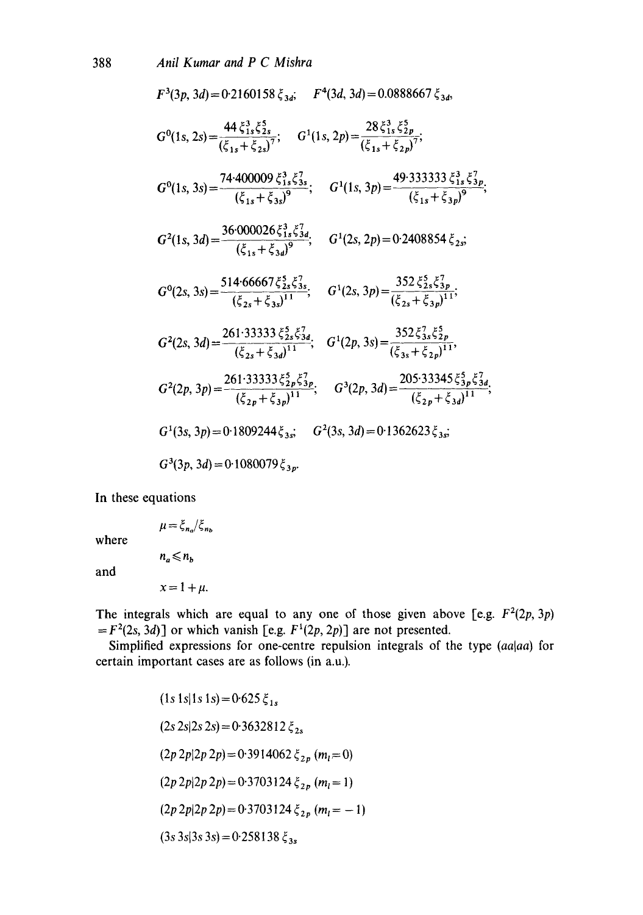$$
F^{3}(3p, 3d) = 0.2160158 \xi_{3d}; \quad F^{4}(3d, 3d) = 0.0888667 \xi_{3d},
$$
\n
$$
G^{0}(1s, 2s) = \frac{44 \xi_{1s}^{3} \xi_{2s}^{5}}{(\xi_{1s} + \xi_{2s})^{7}}; \quad G^{1}(1s, 2p) = \frac{28 \xi_{1s}^{3} \xi_{2p}^{5}}{(\xi_{1s} + \xi_{2p})^{7}};
$$
\n
$$
G^{0}(1s, 3s) = \frac{74 \cdot 400009 \xi_{1s}^{3} \xi_{3s}^{7}}{(\xi_{1s} + \xi_{3s})^{9}}; \quad G^{1}(1s, 3p) = \frac{49 \cdot 333333 \xi_{1s}^{3} \xi_{3p}^{7}}{(\xi_{1s} + \xi_{3p})^{9}};
$$
\n
$$
G^{2}(1s, 3d) = \frac{36 \cdot 000026 \xi_{1s}^{3} \xi_{3d}^{7}}{(\xi_{1s} + \xi_{3d})^{9}}; \quad G^{1}(2s, 2p) = 0.2408854 \xi_{2s};
$$
\n
$$
G^{0}(2s, 3s) = \frac{514 \cdot 66667 \xi_{2s}^{5} \xi_{3s}^{7}}{(\xi_{2s} + \xi_{3s})^{11}}; \quad G^{1}(2s, 3p) = \frac{352 \xi_{2s}^{5} \xi_{3p}^{7}}{(\xi_{2s} + \xi_{3p})^{11}};
$$
\n
$$
G^{2}(2s, 3d) = \frac{261 \cdot 33333 \xi_{2s}^{5} \xi_{3d}^{7}}{(\xi_{2s} + \xi_{3d})^{11}}; \quad G^{1}(2p, 3s) = \frac{352 \xi_{3s}^{7} \xi_{2p}^{5}}{(\xi_{3s} + \xi_{2p})^{11}},
$$
\n
$$
G^{2}(2p, 3p) = \frac{261 \cdot 33333 \xi_{2p}^{5} \xi_{3p}^{7}}{(\xi_{2p} + \xi_{3p})^{11}}; \quad G^{3}(2p, 3d) = 0
$$

In these equations

where

 $n_a \leq n_b$ 

and

 $x = 1 + \mu$ .

 $\mu = \xi_{n_a}/\xi_{n_b}$ 

The integrals which are equal to any one of those given above [e.g.  $F^2(2p, 3p)$  $=F<sup>2</sup>(2s, 3d)$ ] or which vanish [e.g.  $F<sup>1</sup>(2p, 2p)$ ] are not presented.

Simplified expressions for one-centre repulsion integrals of the type *(aalaa)* for certain important cases are as follows (in a.u.).

$$
(1s 1s|1s 1s) = 0.625 \xi_{1s}
$$
  
(2s 2s|2s 2s) = 0.3632812 \xi\_{2s}  
(2p 2p|2p 2p) = 0.3914062 \xi\_{2p} (m\_l=0)  
(2p 2p|2p 2p) = 0.3703124 \xi\_{2p} (m\_l=1)  
(2p 2p|2p 2p) = 0.3703124 \xi\_{2p} (m\_l=-1)  
(3s 3s|3s 3s) = 0.258138 \xi\_{3s}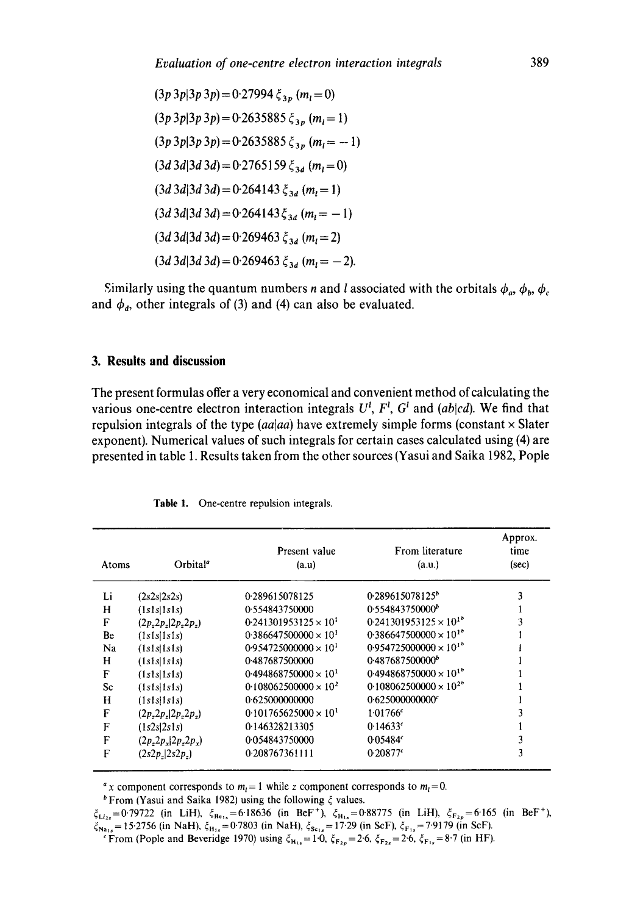$(3p\ 3p|3p\ 3p) = 0.27994 \xi_{3p} (m_1 = 0)$  $(3p\ 3p|3p\ 3p) = 0.2635885 \xi_{3p} (m_1=1)$  $(3p\ 3p|3p\ 3p) = 0.2635885 \xi_{3p} (m_1 = -1)$  $(3d \, 3d|3d \, 3d) = 0.2765159 \, \xi_{3d}$   $(m_i = 0)$  $(3d \cdot 3d \cdot 3d) = 0.264143 \xi_{3d}$   $(m_i = 1)$  $(3d \cdot 3d)3d \cdot 3d = 0.264143 \xi_{3d}$  (m<sub>i</sub> = -1)  $(3d \cdot 3d)3d \cdot 3d = 0.269463 \xi_{3d}$  ( $m_i = 2$ )  $(3d \, 3d|3d \, 3d) = 0.269463 \, \xi_{3d}$   $(m_l = -2)$ .

Similarly using the quantum numbers *n* and *l* associated with the orbitals  $\phi_a$ ,  $\phi_b$ ,  $\phi_c$ and  $\phi_d$ , other integrals of (3) and (4) can also be evaluated.

### **3. Results and discussion**

**The present formulas offer a very economical and convenient method of calculating the various one-centre electron interaction integrals**  $U^l$ **,**  $F^l$ **,**  $G^l$  **and**  $(ab|cd)$ **. We find that** repulsion integrals of the type  $(aa|aa)$  have extremely simple forms (constant  $\times$  Slater **exponent). Numerical values of such integrals for certain cases calculated using (4) are presented in table 1. Results taken from the other sources (Yasui and Saika 1982, Pople** 

| Atoms | Orbital <sup>®</sup>      | Present value<br>(a.u)         | From literature<br>(a.u.)       | Approx.<br>time<br>(sec) |
|-------|---------------------------|--------------------------------|---------------------------------|--------------------------|
| Li    | (2s2s 2s2s)               | 0.289615078125                 | 0.289615078125°                 | 3                        |
| Н     | (1s1s 1s1s)               | 0.554843750000                 | 0.554843750000                  | I.                       |
| F     | (2p, 2p, 2p, 2p, 2p)      | $0.241301953125 \times 10^{1}$ | $0.241301953125 \times 10^{18}$ | 3                        |
| Be    | (1s1s 1s1s)               | $0.386647500000 \times 10^{1}$ | $0.386647500000 \times 10^{18}$ |                          |
| Na    | (1s1s1s1s)                | $0.954725000000 \times 10^{1}$ | $0.954725000000 \times 10^{16}$ |                          |
| H     | (1s1s 1s1s)               | 0.487687500000                 | 0.487687500000 <sup>b</sup>     |                          |
| F     | (1s1s 1s1s)               | $0.494868750000 \times 10^{1}$ | $0.494868750000 \times 10^{16}$ |                          |
| Sc    | (1s1s 1s1s)               | $0.108062500000 \times 10^{2}$ | $0.108062500000 \times 10^{28}$ |                          |
| H     | (1s1s1s1s)                | 0.625000000000                 | 0.625000000000                  |                          |
| F     | (2p, 2p, 12p, 2p)         | $0.101765625000 \times 10^{1}$ | 1.01766c                        | ٩                        |
| F     | (1s2s 2s1s)               | 0.146328213305                 | 0.14633c                        |                          |
| F     | $(2p_z 2p_x   2p_z 2p_x)$ | 0.054843750000                 | 0.05484 <sup>c</sup>            | 3                        |
| F     | $(2s2p_r 2s2p_r)$         | 0.208767361111                 | 0.20877c                        | 3                        |

Table 1. One-centre repulsion integrals.

<sup>a</sup>x component corresponds to  $m_l = 1$  while z component corresponds to  $m_l = 0$ .

 $b$  From (Yasui and Saika 1982) using the following  $\xi$  values.

 $\xi_{1i_2}=0.79722$  (in LiH),  $\xi_{\text{Be}}=6.18636$  (in BeF<sup>+</sup>),  $\xi_{\text{H}_{12}}=0.88775$  (in LiH),  $\xi_{\text{E}_{2n}}=6.165$  (in BeF<sup>+</sup>),  $\zeta_{\text{Na}_{12}} = 15.2756$  (in NaH),  $\zeta_{\text{H}_{12}} = 0.7803$  (in NaH),  $\zeta_{\text{Se}_{12}} = 17.29$  (in ScF),  $\zeta_{\text{Fe}_{12}} = 7.9179$  (in ScF).

From (Pople and Beveridge 1970) using  $\xi_{H_{1s}} = 1.0$ ,  $\xi_{F_{2p}} = 2.6$ ,  $\xi_{F_{2s}} = 2.6$ ,  $\xi_{F_{1s}} = 8.7$  (in HF).